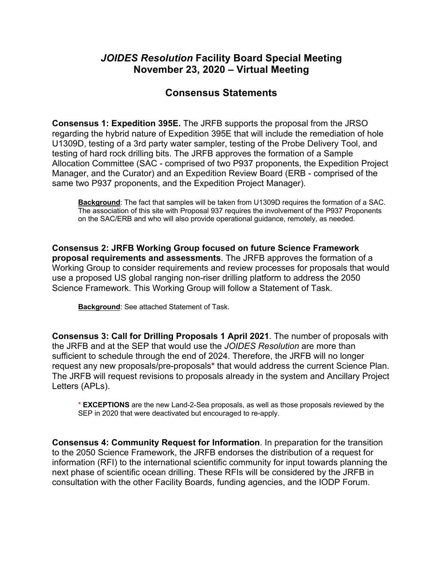## *JOIDES Resolution* **Facility Board Special Meeting November 23, 2020 – Virtual Meeting**

## **Consensus Statements**

**Consensus 1: Expedition 395E.** The JRFB supports the proposal from the JRSO regarding the hybrid nature of Expedition 395E that will include the remediation of hole U1309D, testing of a 3rd party water sampler, testing of the Probe Delivery Tool, and testing of hard rock drilling bits. The JRFB approves the formation of a Sample Allocation Committee (SAC - comprised of two P937 proponents, the Expedition Project Manager, and the Curator) and an Expedition Review Board (ERB - comprised of the same two P937 proponents, and the Expedition Project Manager).

**Background**: The fact that samples will be taken from U1309D requires the formation of a SAC. The association of this site with Proposal 937 requires the involvement of the P937 Proponents on the SAC/ERB and who will also provide operational guidance, remotely, as needed.

**Consensus 2: JRFB Working Group focused on future Science Framework proposal requirements and assessments**. The JRFB approves the formation of a Working Group to consider requirements and review processes for proposals that would use a proposed US global ranging non-riser drilling platform to address the 2050 Science Framework. This Working Group will follow a Statement of Task.

**Background**: See attached Statement of Task.

**Consensus 3: Call for Drilling Proposals 1 April 2021**. The number of proposals with the JRFB and at the SEP that would use the *JOIDES Resolution* are more than sufficient to schedule through the end of 2024. Therefore, the JRFB will no longer request any new proposals/pre-proposals**\*** that would address the current Science Plan. The JRFB will request revisions to proposals already in the system and Ancillary Project Letters (APLs).

\* **EXCEPTIONS** are the new Land-2-Sea proposals, as well as those proposals reviewed by the SEP in 2020 that were deactivated but encouraged to re-apply.

**Consensus 4: Community Request for Information**. In preparation for the transition to the 2050 Science Framework, the JRFB endorses the distribution of a request for information (RFI) to the international scientific community for input towards planning the next phase of scientific ocean drilling. These RFIs will be considered by the JRFB in consultation with the other Facility Boards, funding agencies, and the IODP Forum.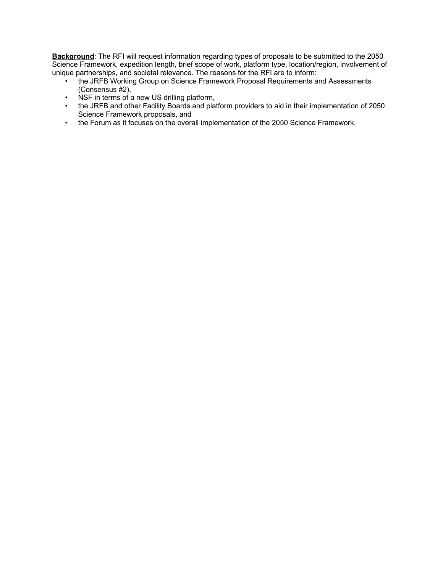**Background**: The RFI will request information regarding types of proposals to be submitted to the 2050 Science Framework, expedition length, brief scope of work, platform type, location/region, involvement of unique partnerships, and societal relevance. The reasons for the RFI are to inform:

- the JRFB Working Group on Science Framework Proposal Requirements and Assessments (Consensus #2),
- NSF in terms of a new US drilling platform,
- the JRFB and other Facility Boards and platform providers to aid in their implementation of 2050 Science Framework proposals, and
- the Forum as it focuses on the overall implementation of the 2050 Science Framework.